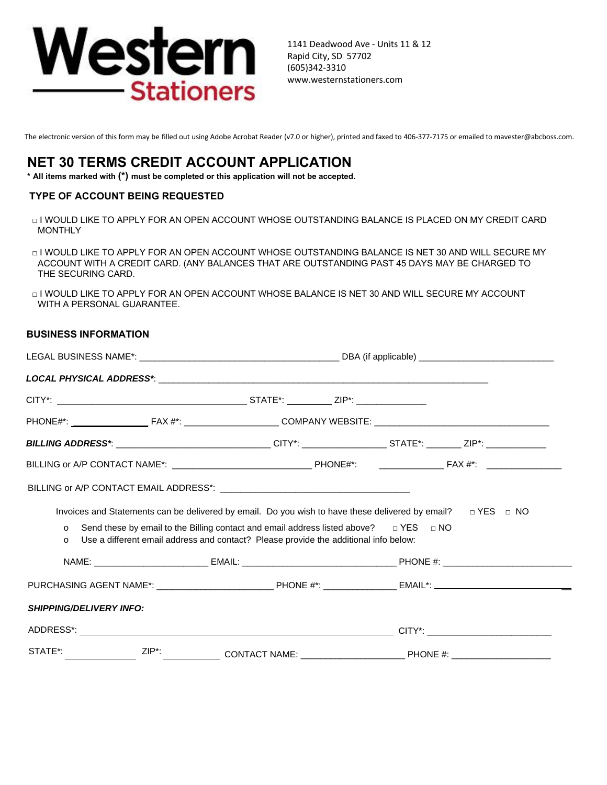

1141 Deadwood Ave - Units 11 & 12 Rapid City, SD 57702 (605)342-3310 www.westernstationers.com

The electronic version of this form may be filled out using Adobe Acrobat Reader (v7.0 or higher), printed and faxed to 406-377-7175 or emailed to mavester@abcboss.com.

# **NET 30 TERMS CREDIT ACCOUNT APPLICATION**

**\* All items marked with (\*) must be completed or this application will not be accepted.**

## **TYPE OF ACCOUNT BEING REQUESTED**

- □ I WOULD LIKE TO APPLY FOR AN OPEN ACCOUNT WHOSE OUTSTANDING BALANCE IS PLACED ON MY CREDIT CARD MONTHLY
- $\Box$  I WOULD LIKE TO APPLY FOR AN OPEN ACCOUNT WHOSE OUTSTANDING BALANCE IS NET 30 AND WILL SECURE MY ACCOUNT WITH A CREDIT CARD. (ANY BALANCES THAT ARE OUTSTANDING PAST 45 DAYS MAY BE CHARGED TO THE SECURING CARD.
- $\Box$  I WOULD LIKE TO APPLY FOR AN OPEN ACCOUNT WHOSE BALANCE IS NET 30 AND WILL SECURE MY ACCOUNT WITH A PERSONAL GUARANTEE.

## **BUSINESS INFORMATION**

|                                |                                                                                                                                                                                         | <b>BILLING ADDRESS*</b> : ________________________________CITY*: _________________STATE*: ________ ZIP*: ____________ |  |  |
|--------------------------------|-----------------------------------------------------------------------------------------------------------------------------------------------------------------------------------------|-----------------------------------------------------------------------------------------------------------------------|--|--|
|                                |                                                                                                                                                                                         |                                                                                                                       |  |  |
|                                |                                                                                                                                                                                         |                                                                                                                       |  |  |
|                                |                                                                                                                                                                                         | Invoices and Statements can be delivered by email. Do you wish to have these delivered by email? $\Box$ YES $\Box$ NO |  |  |
| $\circ$<br>$\circ$             | Send these by email to the Billing contact and email address listed above? $\Box$ YES $\Box$ NO<br>Use a different email address and contact? Please provide the additional info below: |                                                                                                                       |  |  |
|                                |                                                                                                                                                                                         |                                                                                                                       |  |  |
|                                |                                                                                                                                                                                         |                                                                                                                       |  |  |
| <b>SHIPPING/DELIVERY INFO:</b> |                                                                                                                                                                                         |                                                                                                                       |  |  |
|                                |                                                                                                                                                                                         |                                                                                                                       |  |  |
|                                |                                                                                                                                                                                         | STATE*: _________________ZIP*: ______________ CONTACT NAME: _____________________PHONE #: ____________________        |  |  |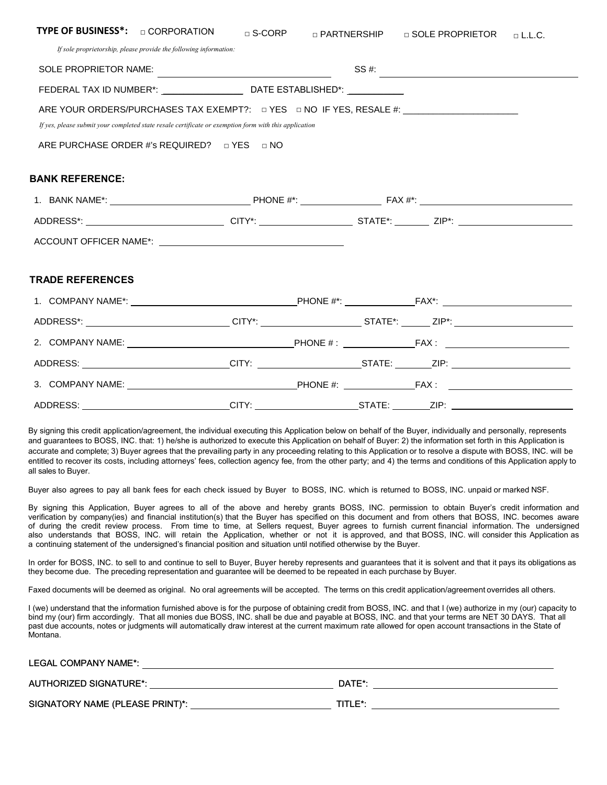| TYPE OF BUSINESS*: <b>DEPARTION</b>                                                                            | $\square$ S-CORP | <b>D PARTNERSHIP D SOLE PROPRIETOR D L.L.C.</b>                                                                                                                                                                                                                                                       |  |
|----------------------------------------------------------------------------------------------------------------|------------------|-------------------------------------------------------------------------------------------------------------------------------------------------------------------------------------------------------------------------------------------------------------------------------------------------------|--|
| If sole proprietorship, please provide the following information:                                              |                  |                                                                                                                                                                                                                                                                                                       |  |
|                                                                                                                |                  | SS #: $\frac{1}{2}$ = $\frac{1}{2}$ = $\frac{1}{2}$ = $\frac{1}{2}$ = $\frac{1}{2}$ = $\frac{1}{2}$ = $\frac{1}{2}$ = $\frac{1}{2}$ = $\frac{1}{2}$ = $\frac{1}{2}$ = $\frac{1}{2}$ = $\frac{1}{2}$ = $\frac{1}{2}$ = $\frac{1}{2}$ = $\frac{1}{2}$ = $\frac{1}{2}$ = $\frac{1}{2}$ = $\frac{1}{2}$ = |  |
|                                                                                                                |                  |                                                                                                                                                                                                                                                                                                       |  |
| ARE YOUR ORDERS/PURCHASES TAX EXEMPT?: $\Box$ YES $\Box$ NO IF YES, RESALE #: _________________________        |                  |                                                                                                                                                                                                                                                                                                       |  |
| If yes, please submit your completed state resale certificate or exemption form with this application          |                  |                                                                                                                                                                                                                                                                                                       |  |
| ARE PURCHASE ORDER #'s REQUIRED? DYES DNO                                                                      |                  |                                                                                                                                                                                                                                                                                                       |  |
|                                                                                                                |                  |                                                                                                                                                                                                                                                                                                       |  |
| <b>BANK REFERENCE:</b>                                                                                         |                  |                                                                                                                                                                                                                                                                                                       |  |
|                                                                                                                |                  |                                                                                                                                                                                                                                                                                                       |  |
| ADDRESS*: _______________________________CITY*: ______________________STATE*: ________ZIP*: __________________ |                  |                                                                                                                                                                                                                                                                                                       |  |
|                                                                                                                |                  |                                                                                                                                                                                                                                                                                                       |  |
|                                                                                                                |                  |                                                                                                                                                                                                                                                                                                       |  |
| <b>TRADE REFERENCES</b>                                                                                        |                  |                                                                                                                                                                                                                                                                                                       |  |
|                                                                                                                |                  |                                                                                                                                                                                                                                                                                                       |  |
| ADDRESS*: _____________________________CITY*: __________________________________ZIP*: ________________________ |                  |                                                                                                                                                                                                                                                                                                       |  |
|                                                                                                                |                  |                                                                                                                                                                                                                                                                                                       |  |
|                                                                                                                |                  |                                                                                                                                                                                                                                                                                                       |  |
|                                                                                                                |                  |                                                                                                                                                                                                                                                                                                       |  |
|                                                                                                                |                  |                                                                                                                                                                                                                                                                                                       |  |

By signing this credit application/agreement, the individual executing this Application below on behalf of the Buyer, individually and personally, represents and guarantees to BOSS, INC. that: 1) he/she is authorized to execute this Application on behalf of Buyer: 2) the information set forth in this Application is accurate and complete; 3) Buyer agrees that the prevailing party in any proceeding relating to this Application or to resolve a dispute with BOSS, INC. will be entitled to recover its costs, including attorneys' fees, collection agency fee, from the other party; and 4) the terms and conditions of this Application apply to all sales to Buyer.

Buyer also agrees to pay all bank fees for each check issued by Buyer to BOSS, INC. which is returned to BOSS, INC. unpaid or marked NSF.

By signing this Application, Buyer agrees to all of the above and hereby grants BOSS, INC. permission to obtain Buyer's credit information and verification by company(ies) and financial institution(s) that the Buyer has specified on this document and from others that BOSS, INC. becomes aware of during the credit review process. From time to time, at Sellers request, Buyer agrees to furnish current financial information. The undersigned also understands that BOSS, INC. will retain the Application, whether or not it is approved, and that BOSS, INC. will consider this Application as a continuing statement of the undersigned's financial position and situation until notified otherwise by the Buyer.

In order for BOSS, INC. to sell to and continue to sell to Buyer, Buyer hereby represents and guarantees that it is solvent and that it pays its obligations as they become due. The preceding representation and guarantee will be deemed to be repeated in each purchase by Buyer.

Faxed documents will be deemed as original. No oral agreements will be accepted. The terms on this credit application/agreement overrides all others.

I (we) understand that the information furnished above is for the purpose of obtaining credit from BOSS, INC. and that I (we) authorize in my (our) capacity to bind my (our) firm accordingly. That all monies due BOSS, INC. shall be due and payable at BOSS, INC. and that your terms are NET 30 DAYS. That all past due accounts, notes or judgments will automatically draw interest at the current maximum rate allowed for open account transactions in the State of Montana.

| LEGAL COMPANY NAME*:            |         |
|---------------------------------|---------|
| AUTHORIZED SIGNATURE*:          | DATE*:  |
| SIGNATORY NAME (PLEASE PRINT)*: | TITLE*: |